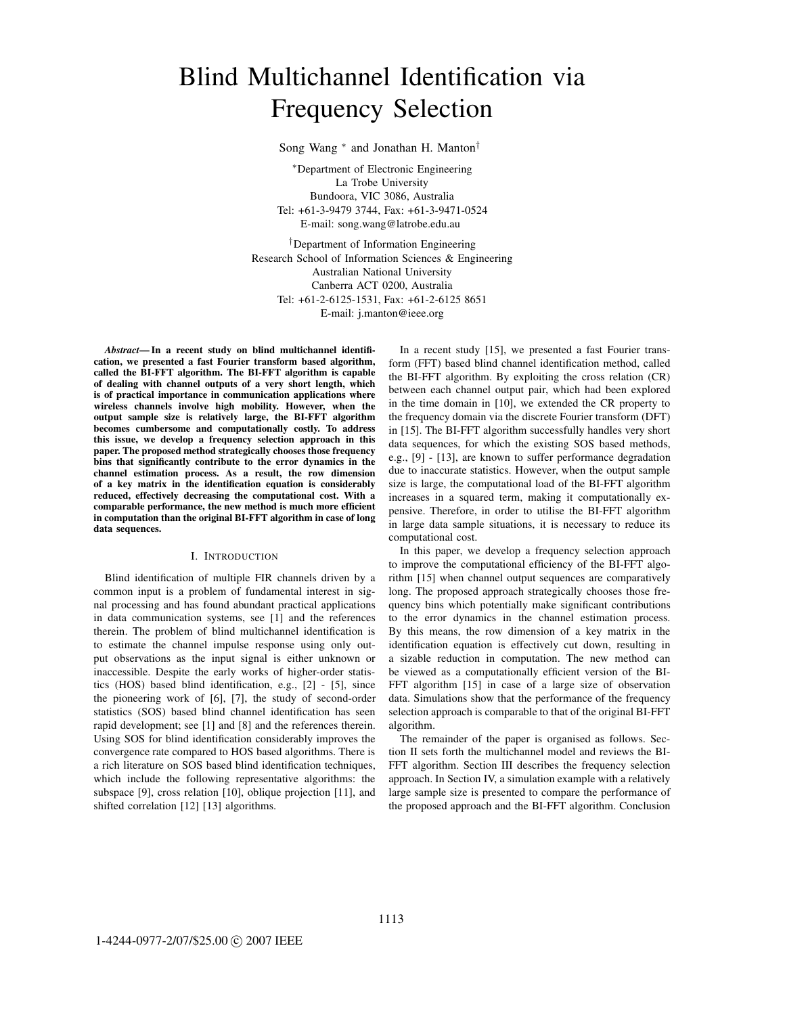# Blind Multichannel Identification via Frequency Selection

Song Wang <sup>∗</sup> and Jonathan H. Manton†

<sup>∗</sup>Department of Electronic Engineering La Trobe University Bundoora, VIC 3086, Australia Tel: +61-3-9479 3744, Fax: +61-3-9471-0524 E-mail: song.wang@latrobe.edu.au

†Department of Information Engineering Research School of Information Sciences & Engineering Australian National University Canberra ACT 0200, Australia Tel: +61-2-6125-1531, Fax: +61-2-6125 8651 E-mail: j.manton@ieee.org

*Abstract***— In a recent study on blind multichannel identification, we presented a fast Fourier transform based algorithm, called the BI-FFT algorithm. The BI-FFT algorithm is capable of dealing with channel outputs of a very short length, which is of practical importance in communication applications where wireless channels involve high mobility. However, when the output sample size is relatively large, the BI-FFT algorithm becomes cumbersome and computationally costly. To address this issue, we develop a frequency selection approach in this paper. The proposed method strategically chooses those frequency bins that significantly contribute to the error dynamics in the channel estimation process. As a result, the row dimension of a key matrix in the identification equation is considerably reduced, effectively decreasing the computational cost. With a comparable performance, the new method is much more efficient in computation than the original BI-FFT algorithm in case of long data sequences.**

## I. INTRODUCTION

Blind identification of multiple FIR channels driven by a common input is a problem of fundamental interest in signal processing and has found abundant practical applications in data communication systems, see [1] and the references therein. The problem of blind multichannel identification is to estimate the channel impulse response using only output observations as the input signal is either unknown or inaccessible. Despite the early works of higher-order statistics (HOS) based blind identification, e.g., [2] - [5], since the pioneering work of [6], [7], the study of second-order statistics (SOS) based blind channel identification has seen rapid development; see [1] and [8] and the references therein. Using SOS for blind identification considerably improves the convergence rate compared to HOS based algorithms. There is a rich literature on SOS based blind identification techniques, which include the following representative algorithms: the subspace [9], cross relation [10], oblique projection [11], and shifted correlation [12] [13] algorithms.

In a recent study [15], we presented a fast Fourier transform (FFT) based blind channel identification method, called the BI-FFT algorithm. By exploiting the cross relation (CR) between each channel output pair, which had been explored in the time domain in [10], we extended the CR property to the frequency domain via the discrete Fourier transform (DFT) in [15]. The BI-FFT algorithm successfully handles very short data sequences, for which the existing SOS based methods, e.g., [9] - [13], are known to suffer performance degradation due to inaccurate statistics. However, when the output sample size is large, the computational load of the BI-FFT algorithm increases in a squared term, making it computationally expensive. Therefore, in order to utilise the BI-FFT algorithm in large data sample situations, it is necessary to reduce its computational cost.

In this paper, we develop a frequency selection approach to improve the computational efficiency of the BI-FFT algorithm [15] when channel output sequences are comparatively long. The proposed approach strategically chooses those frequency bins which potentially make significant contributions to the error dynamics in the channel estimation process. By this means, the row dimension of a key matrix in the identification equation is effectively cut down, resulting in a sizable reduction in computation. The new method can be viewed as a computationally efficient version of the BI-FFT algorithm [15] in case of a large size of observation data. Simulations show that the performance of the frequency selection approach is comparable to that of the original BI-FFT algorithm.

The remainder of the paper is organised as follows. Section II sets forth the multichannel model and reviews the BI-FFT algorithm. Section III describes the frequency selection approach. In Section IV, a simulation example with a relatively large sample size is presented to compare the performance of the proposed approach and the BI-FFT algorithm. Conclusion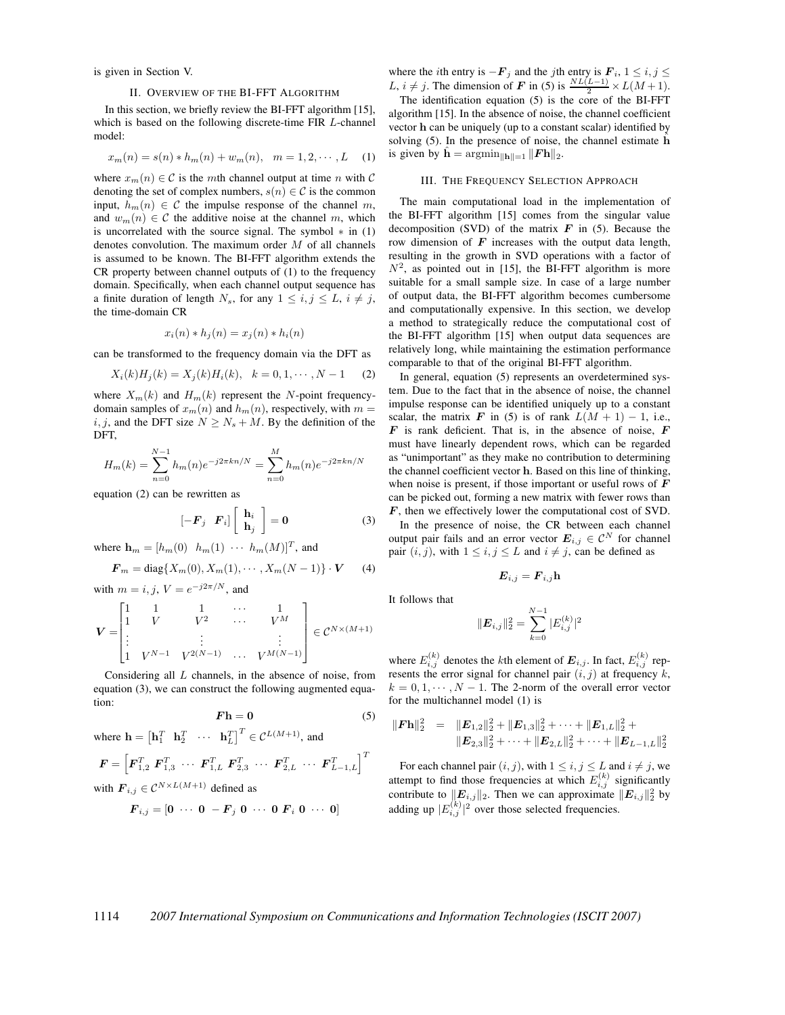is given in Section V.

## II. OVERVIEW OF THE BI-FFT ALGORITHM

In this section, we briefly review the BI-FFT algorithm [15], which is based on the following discrete-time FIR L-channel model:

$$
x_m(n) = s(n) * h_m(n) + w_m(n), \quad m = 1, 2, \cdots, L \quad (1)
$$

where  $x_m(n) \in \mathcal{C}$  is the mth channel output at time n with  $\mathcal{C}$ denoting the set of complex numbers,  $s(n) \in \mathcal{C}$  is the common input,  $h_m(n) \in \mathcal{C}$  the impulse response of the channel m, and  $w_m(n) \in \mathcal{C}$  the additive noise at the channel m, which is uncorrelated with the source signal. The symbol  $*$  in (1) denotes convolution. The maximum order  $M$  of all channels is assumed to be known. The BI-FFT algorithm extends the CR property between channel outputs of (1) to the frequency domain. Specifically, when each channel output sequence has a finite duration of length  $N_s$ , for any  $1 \le i, j \le L$ ,  $i \ne j$ , the time-domain CR

$$
x_i(n) * h_j(n) = x_j(n) * h_i(n)
$$

can be transformed to the frequency domain via the DFT as

$$
X_i(k)H_j(k) = X_j(k)H_i(k), \quad k = 0, 1, \cdots, N-1 \quad (2)
$$

where  $X_m(k)$  and  $H_m(k)$  represent the N-point frequencydomain samples of  $x_m(n)$  and  $h_m(n)$ , respectively, with  $m =$ i, j, and the DFT size  $N \ge N_s + M$ . By the definition of the DFT,

$$
H_m(k) = \sum_{n=0}^{N-1} h_m(n) e^{-j2\pi k n/N} = \sum_{n=0}^{M} h_m(n) e^{-j2\pi k n/N}
$$

equation (2) can be rewritten as

$$
\begin{bmatrix} -\boldsymbol{F}_j & \boldsymbol{F}_i \end{bmatrix} \begin{bmatrix} \mathbf{h}_i \\ \mathbf{h}_j \end{bmatrix} = \mathbf{0} \tag{3}
$$

where  $\mathbf{h}_m = [h_m(0) \quad h_m(1) \quad \cdots \quad h_m(M)]^T$ , and

$$
\mathbf{F}_m = \text{diag}\{X_m(0), X_m(1), \cdots, X_m(N-1)\} \cdot \mathbf{V} \tag{4}
$$

with  $m = i, j, V = e^{-j2\pi/N}$ , and

$$
\boldsymbol{V} = \begin{bmatrix} 1 & 1 & 1 & \cdots & 1 \\ 1 & V & V^2 & \cdots & V^M \\ \vdots & & \vdots & & \vdots \\ 1 & V^{N-1} & V^{2(N-1)} & \cdots & V^{M(N-1)} \end{bmatrix} \in \mathcal{C}^{N \times (M+1)}
$$

Considering all  $L$  channels, in the absence of noise, from equation (3), we can construct the following augmented equation:

$$
Fh = 0 \tag{5}
$$

where  $\mathbf{h} = \begin{bmatrix} \mathbf{h}_1^T & \mathbf{h}_2^T & \cdots & \mathbf{h}_L^T \end{bmatrix}^T \in \mathcal{C}^{L(M+1)}$ , and

$$
\mathbf{F} = \left[ \mathbf{F}_{1,2}^T \ \mathbf{F}_{1,3}^T \ \cdots \ \mathbf{F}_{1,L}^T \ \mathbf{F}_{2,3}^T \ \cdots \ \mathbf{F}_{2,L}^T \ \cdots \ \mathbf{F}_{L-1,L}^T \right]^T
$$

with 
$$
\mathbf{F}_{i,j} \in \mathcal{C}^{N \times L(M+1)}
$$
 defined as

$$
\boldsymbol{F}_{i,j} = \begin{bmatrix} 0 & \cdots & 0 & -\boldsymbol{F}_j & 0 & \cdots & 0 & \boldsymbol{F}_i & 0 & \cdots & 0 \end{bmatrix}
$$

where the *i*th entry is  $-\mathbf{F}_i$  and the *j*th entry is  $\mathbf{F}_i$ ,  $1 \leq i, j \leq j$ L,  $i \neq j$ . The dimension of **F** in (5) is  $\frac{NL(L-1)}{2} \times L(M+1)$ .<br>The identification equation (5) is the core of the **BI** EET The identification equation (5) is the core of the BI-FFT algorithm [15]. In the absence of noise, the channel coefficient vector **h** can be uniquely (up to a constant scalar) identified by solving (5). In the presence of noise, the channel estimate  $\hat{h}$ is given by  $\hat{\mathbf{h}} = \operatorname{argmin}_{\|\mathbf{h}\|=1} \| \mathbf{F} \mathbf{h} \|_2$ .

#### III. THE FREQUENCY SELECTION APPROACH

The main computational load in the implementation of the BI-FFT algorithm [15] comes from the singular value decomposition (SVD) of the matrix  $\boldsymbol{F}$  in (5). Because the row dimension of **F** increases with the output data length, resulting in the growth in SVD operations with a factor of  $N^2$ , as pointed out in [15], the BI-FFT algorithm is more suitable for a small sample size. In case of a large number of output data, the BI-FFT algorithm becomes cumbersome and computationally expensive. In this section, we develop a method to strategically reduce the computational cost of the BI-FFT algorithm [15] when output data sequences are relatively long, while maintaining the estimation performance comparable to that of the original BI-FFT algorithm.

In general, equation (5) represents an overdetermined system. Due to the fact that in the absence of noise, the channel impulse response can be identified uniquely up to a constant scalar, the matrix **F** in (5) is of rank  $L(M + 1) - 1$ , i.e., **F** is rank deficient. That is, in the absence of noise, **F** must have linearly dependent rows, which can be regarded as "unimportant" as they make no contribution to determining the channel coefficient vector **h**. Based on this line of thinking, when noise is present, if those important or useful rows of **F** can be picked out, forming a new matrix with fewer rows than **F**, then we effectively lower the computational cost of SVD. In the presence of noise, the CR between each channel output pair fails and an error vector  $E_{i,j} \in \mathcal{C}^N$  for channel

pair  $(i, j)$ , with  $1 \leq i, j \leq L$  and  $i \neq j$ , can be defined as

$$
\boldsymbol{E}_{i,j} = \boldsymbol{F}_{i,j} \mathbf{h}
$$

It follows that

$$
\|\mathbf{E}_{i,j}\|_2^2 = \sum_{k=0}^{N-1} |E_{i,j}^{(k)}|^2
$$

where  $E_{i,j}^{(k)}$  denotes the *k*th element of  $\boldsymbol{E}_{i,j}$ . In fact,  $E_{i,j}^{(k)}$  represents the error signal for channel pair  $(i, j)$  at frequency k,  $k = 0, 1, \dots, N - 1$ . The 2-norm of the overall error vector for the multichannel model (1) is

$$
\begin{array}{rcl}\n\|\mathbf{F}\mathbf{h}\|_2^2 & = & \|\mathbf{E}_{1,2}\|_2^2 + \|\mathbf{E}_{1,3}\|_2^2 + \cdots + \|\mathbf{E}_{1,L}\|_2^2 + \\
& & \|\mathbf{E}_{2,3}\|_2^2 + \cdots + \|\mathbf{E}_{2,L}\|_2^2 + \cdots + \|\mathbf{E}_{L-1,L}\|_2^2\n\end{array}
$$

For each channel pair  $(i, j)$ , with  $1 \le i, j \le L$  and  $i \ne j$ , we attempt to find those frequencies at which  $E_{i,j}^{(k)}$  significantly contribute to  $||E_{i,j}||_2$ . Then we can approximate  $||E_{i,j}||_2^2$  by adding up  $|E_{i,j}^{(k)}|^2$  over those selected frequencies.

# 1114 *2007 International Symposium on Communications and Information Technologies (ISCIT 2007)*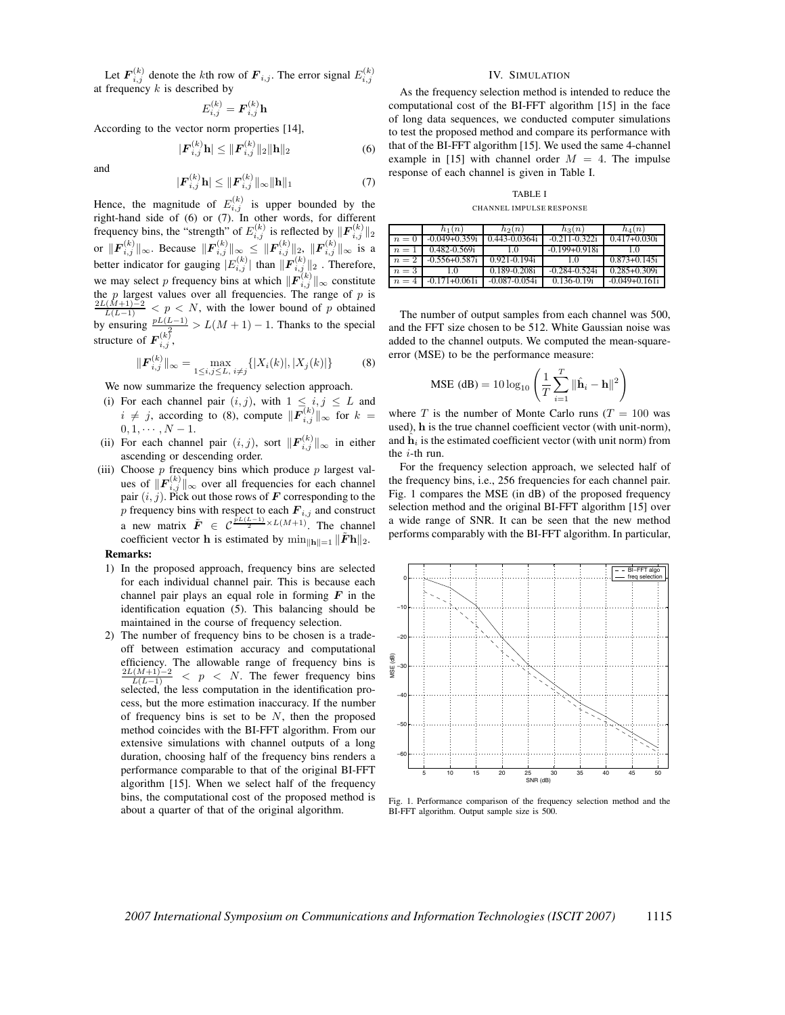Let  $\mathbf{F}_{i,j}^{(k)}$  denote the kth row of  $\mathbf{F}_{i,j}$ . The error signal  $E_{i,j}^{(k)}$ at frequency  $k$  is described by

$$
E_{i,j}^{(k)} = \boldsymbol{F}_{i,j}^{(k)} \mathbf{h}
$$

According to the vector norm properties [14],

 $|F|$ 

$$
P_{i,j}^{(k)}\mathbf{h}| \leq \|\mathbf{F}_{i,j}^{(k)}\|_{2}\|\mathbf{h}\|_{2}
$$
 (6)

and

$$
|\mathbf{F}_{i,j}^{(k)}\mathbf{h}| \leq ||\mathbf{F}_{i,j}^{(k)}||_{\infty} ||\mathbf{h}||_1
$$
 (7)

Hence, the magnitude of  $E_{i,j}^{(k)}$  is upper bounded by the right-hand side of (6) or (7). In other words, for different frequency bins, the "strength" of  $E_{i,j}^{(k)}$  is reflected by  $\|\mathbf{F}_{i,j}^{(k)}\|_2$ or  $\|F_{i,j}^{(k)}\|_{\infty}$ . Because  $\|F_{i,j}^{(k)}\|_{\infty} \le \|F_{i,j}^{(k)}\|_{2}$ ,  $\|F_{i,j}^{(k)}\|_{\infty}$  is a better indicator for gauging  $|E_{i,j}^{(k)}|$  than  $\|\mathbf{F}_{i,j}^{(k)}\|_2$  . Therefore, we may select p frequency bins at which  $\|\mathbf{F}_{i,j}^{(k)}\|_{\infty}$  constitute the p largest values over all frequencies. The range of p is<br> $\frac{2L(M+1)-2}{2L(M+1)-2}$  / n / M with the lower bound of y is 1to i  $\frac{L(M+1)-2}{L(L-1)}$  < p < N, with the lower bound of p obtained by ensuring  $\frac{pL(L-1)}{2}$  >  $L(M+1) - 1$ . Thanks to the special structure of  $\boldsymbol{F}_{i,j}^{(k)}$ ,

$$
\|\mathbf{F}_{i,j}^{(k)}\|_{\infty} = \max_{1 \le i,j \le L, i \ne j} \{ |X_i(k)|, |X_j(k)| \}
$$
(8)

We now summarize the frequency selection approach.

- (i) For each channel pair  $(i, j)$ , with  $1 \leq i, j \leq L$  and  $i \neq j$ , according to (8), compute  $\|\mathbf{F}_{i,j}^{(k)}\|_{\infty}$  for  $k = 0, 1, ..., N-1$  $0, 1, \cdots, N-1.$ <br>For each channel
- (ii) For each channel pair  $(i, j)$ , sort  $\|\mathbf{F}_{i,j}^{(k)}\|_{\infty}$  in either ascending or descending order ascending or descending order.
- (iii) Choose  $p$  frequency bins which produce  $p$  largest values of  $\|\mathbf{F}_{i,j}^{(k)}\|_{\infty}$  over all frequencies for each channel pair  $(i, j)$ . Pick out those rows of **F** corresponding to the p frequency bins with respect to each  $\mathbf{F}_{i,j}$  and construct a new matrix  $\tilde{F} \in C^{\frac{\tilde{p}L(L-1)}{2} \times L(M+1)}$ . The channel coefficient vector **h** is estimated by  $\min_{\|\mathbf{h}\|=1} \|\tilde{F}\mathbf{h}\|_2$ .

## **Remarks:**

- 1) In the proposed approach, frequency bins are selected for each individual channel pair. This is because each channel pair plays an equal role in forming  $\boldsymbol{F}$  in the identification equation (5). This balancing should be maintained in the course of frequency selection.
- 2) The number of frequency bins to be chosen is a tradeoff between estimation accuracy and computational efficiency. The allowable range of frequency bins is  $\frac{2L(M+1)-2}{L(L-1)}$  < p < N. The fewer frequency bins selected, the less computation in the identification process, but the more estimation inaccuracy. If the number of frequency bins is set to be  $N$ , then the proposed method coincides with the BI-FFT algorithm. From our extensive simulations with channel outputs of a long duration, choosing half of the frequency bins renders a performance comparable to that of the original BI-FFT algorithm [15]. When we select half of the frequency bins, the computational cost of the proposed method is about a quarter of that of the original algorithm.

# IV. SIMULATION

As the frequency selection method is intended to reduce the computational cost of the BI-FFT algorithm [15] in the face of long data sequences, we conducted computer simulations to test the proposed method and compare its performance with that of the BI-FFT algorithm [15]. We used the same 4-channel example in [15] with channel order  $M = 4$ . The impulse response of each channel is given in Table I.

TABLE I

CHANNEL IMPULSE RESPONSE

|       | $h_1(n)$           | $h_2(n)$           | $h_3(n)$           | $h_4(n)$          |
|-------|--------------------|--------------------|--------------------|-------------------|
| $n=0$ | $-0.049 + 0.359$ i | 0.443-0.0364i      | $-0.211 - 0.322i$  | $0.417 + 0.030i$  |
| $n=1$ | 0.482-0.569i       | 1.0                | $-0.199 + 0.918i$  | 10                |
| $n=2$ | $-0.556 + 0.587i$  | $0.921 - 0.194i$   | 10                 | $0.873 + 0.145i$  |
| $n=3$ | 10                 | $0.189 - 0.208$ i  | $-0.284 - 0.524$ i | $0.285 + 0.309i$  |
| $n=4$ | $-0.171 + 0.061i$  | $-0.087 - 0.054$ i | $0.136 - 0.19i$    | $-0.049 + 0.161i$ |

The number of output samples from each channel was 500, and the FFT size chosen to be 512. White Gaussian noise was added to the channel outputs. We computed the mean-squareerror (MSE) to be the performance measure:

$$
\text{MSE (dB)} = 10 \log_{10} \left( \frac{1}{T} \sum_{i=1}^{T} \|\hat{\mathbf{h}}_i - \mathbf{h}\|^2 \right)
$$

where T is the number of Monte Carlo runs ( $T = 100$  was used), **h** is the true channel coefficient vector (with unit-norm), and  $\hat{\mathbf{h}}_i$  is the estimated coefficient vector (with unit norm) from the  $i$ -th run.

For the frequency selection approach, we selected half of the frequency bins, i.e., 256 frequencies for each channel pair. Fig. 1 compares the MSE (in dB) of the proposed frequency selection method and the original BI-FFT algorithm [15] over a wide range of SNR. It can be seen that the new method performs comparably with the BI-FFT algorithm. In particular,



Fig. 1. Performance comparison of the frequency selection method and the BI-FFT algorithm. Output sample size is 500.